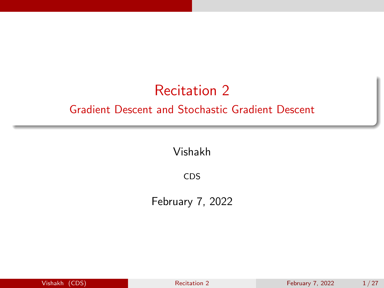# Recitation 2

#### <span id="page-0-0"></span>Gradient Descent and Stochastic Gradient Descent

Vishakh

CDS

February 7, 2022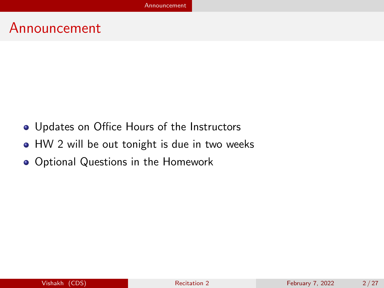### <span id="page-1-0"></span>Announcement

- Updates on Office Hours of the Instructors
- HW 2 will be out tonight is due in two weeks
- Optional Questions in the Homework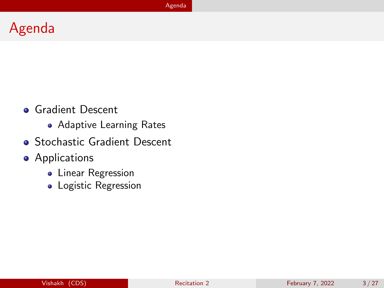# <span id="page-2-0"></span>Agenda

- **Gradient Descent** 
	- **Adaptive Learning Rates**
- **Stochastic Gradient Descent**
- **•** Applications
	- **•** Linear Regression
	- Logistic Regression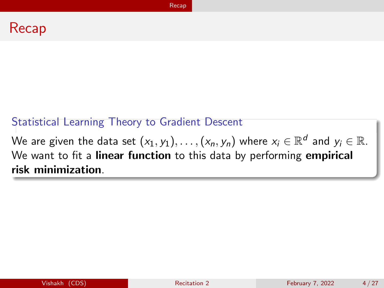#### <span id="page-3-0"></span>Statistical Learning Theory to Gradient Descent

We are given the data set  $(x_1,y_1),\ldots,(x_n,y_n)$  where  $x_i\in\mathbb{R}^d$  and  $y_i\in\mathbb{R}.$ We want to fit a **linear function** to this data by performing **empirical** risk minimization.

[Recap](#page-3-0)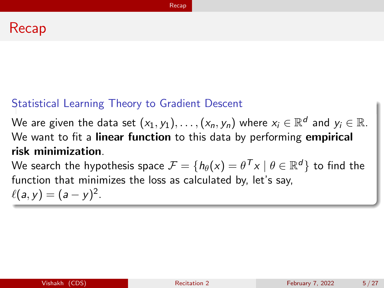#### Recap

#### Statistical Learning Theory to Gradient Descent

We are given the data set  $(x_1,y_1),\ldots,(x_n,y_n)$  where  $x_i\in\mathbb{R}^d$  and  $y_i\in\mathbb{R}.$ We want to fit a **linear function** to this data by performing **empirical** risk minimization.

We search the hypothesis space  $\mathcal{F}=\{h_\theta(\mathsf{x})=\theta^{\sf \, T} \mathsf{x} \mid \theta \in \mathbb{R}^d\}$  to find the function that minimizes the loss as calculated by, let's say,  $\ell(a, y) = (a - y)^2$ .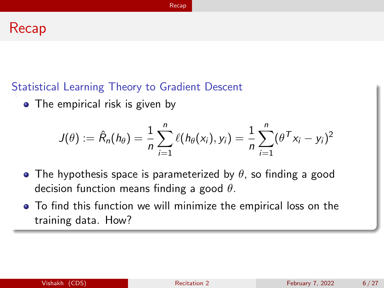#### Recap

#### Statistical Learning Theory to Gradient Descent

• The empirical risk is given by

$$
J(\theta) := \hat{R}_n(h_\theta) = \frac{1}{n} \sum_{i=1}^n \ell(h_\theta(x_i), y_i) = \frac{1}{n} \sum_{i=1}^n (\theta^\mathsf{T} x_i - y_i)^2
$$

- The hypothesis space is parameterized by  $\theta$ , so finding a good decision function means finding a good  $\theta$ .
- To find this function we will minimize the empirical loss on the training data. How?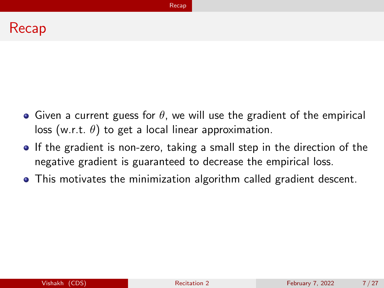#### [Recap](#page-3-0)

#### Recap

- Given a current guess for  $\theta$ , we will use the gradient of the empirical loss (w.r.t.  $\theta$ ) to get a local linear approximation.
- If the gradient is non-zero, taking a small step in the direction of the negative gradient is guaranteed to decrease the empirical loss.
- This motivates the minimization algorithm called gradient descent.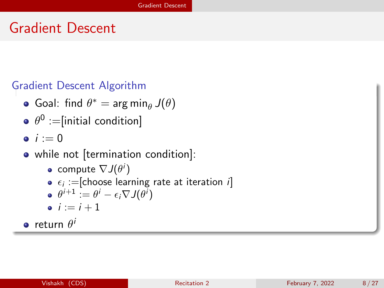# <span id="page-7-0"></span>Gradient Descent

#### Gradient Descent Algorithm

- Goal: find  $\theta^* = \arg \min_{\theta} J(\theta)$
- $\theta^{\mathsf{0}}:=$ [initial condition]
- $i := 0$
- while not [termination condition]:
	- compute  $\nabla J(\theta^i)$
	- $\epsilon_i :=$ [choose learning rate at iteration  $i]$
	- $\theta^{i+1} := \theta^i \epsilon_i \nabla J(\theta^i)$
	- $i := i + 1$

return  $\theta^i$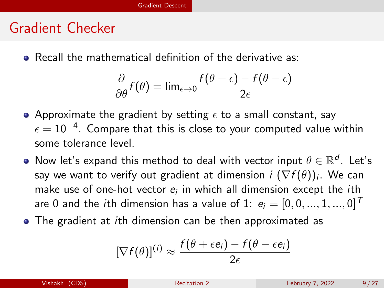## Gradient Checker

Recall the mathematical definition of the derivative as:

$$
\frac{\partial}{\partial \theta} f(\theta) = \lim_{\epsilon \to 0} \frac{f(\theta + \epsilon) - f(\theta - \epsilon)}{2\epsilon}
$$

- Approximate the gradient by setting  $\epsilon$  to a small constant, say  $\epsilon=10^{-4}.$  Compare that this is close to your computed value within some tolerance level.
- Now let's expand this method to deal with vector input  $\theta \in \mathbb{R}^d$ . Let's say we want to verify out gradient at dimension  $i\,\,(\nabla f(\theta))_i.$  We can make use of one-hot vector  $e_i$  in which all dimension except the  $i$ th are 0 and the *i*th dimension has a value of 1:  $e_i = [0, 0, ..., 1, ..., 0]^T$
- The gradient at *i*th dimension can be then approximated as

$$
[\nabla f(\theta)]^{(i)} \approx \frac{f(\theta + \epsilon e_i) - f(\theta - \epsilon e_i)}{2\epsilon}
$$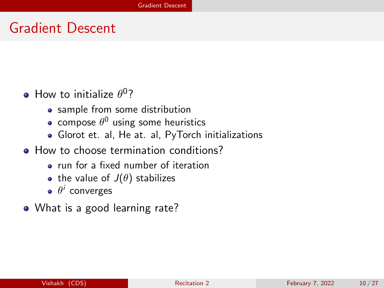## Gradient Descent

- How to initialize  $\theta^0$ ?
	- sample from some distribution
	- compose  $\theta^0$  using some heuristics
	- [Glorot et. al,](http://proceedings.mlr.press/v9/glorot10a) [He at. al,](https://openaccess.thecvf.com/content_iccv_2015/html/He_Delving_Deep_into_ICCV_2015_paper.html) [PyTorch initializations](https://pytorch.org/docs/stable/nn.init.html)
- How to choose termination conditions?
	- run for a fixed number of iteration
	- the value of  $J(\theta)$  stabilizes
	- $\theta^i$  converges
- What is a good learning rate?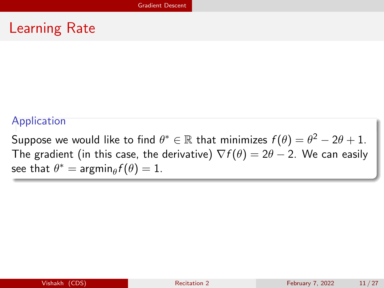### Learning Rate

#### Application

Suppose we would like to find  $\theta^* \in \mathbb{R}$  that minimizes  $f(\theta) = \theta^2 - 2\theta + 1$ . The gradient (in this case, the derivative)  $\nabla f(\theta) = 2\theta - 2$ . We can easily see that  $\theta^* = \operatorname{argmin}_{\theta} f(\theta) = 1$ .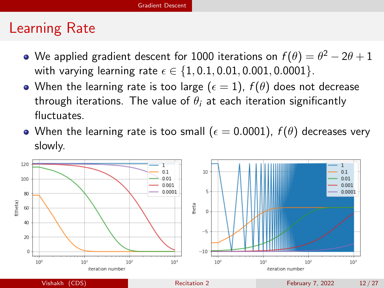### Learning Rate

- We applied gradient descent for 1000 iterations on  $f(\theta)=\theta^2-2\theta+1$ with varying learning rate  $\epsilon \in \{1, 0.1, 0.01, 0.001, 0.0001\}$ .
- When the learning rate is too large ( $\epsilon = 1$ ),  $f(\theta)$  does not decrease through iterations. The value of  $\theta_i$  at each iteration significantly fluctuates.
- When the learning rate is too small ( $\epsilon = 0.0001$ ),  $f(\theta)$  decreases very slowly.

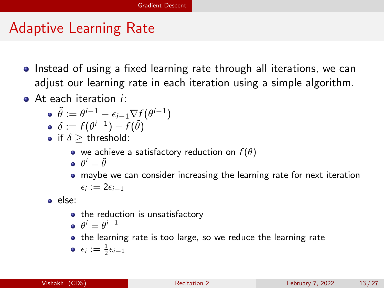# Adaptive Learning Rate

- Instead of using a fixed learning rate through all iterations, we can adjust our learning rate in each iteration using a simple algorithm.
- At each iteration *i*:

$$
\bullet \ \tilde{\theta} := \theta^{i-1} - \epsilon_{i-1} \nabla f(\theta^{i-1})
$$

- $\delta:=f(\theta^{i-1})-f(\tilde{\theta})$
- if  $\delta$  > threshold:
	- we achieve a satisfactory reduction on  $f(\theta)$
	- $\theta^i = \tilde{\theta}$
	- maybe we can consider increasing the learning rate for next iteration  $\epsilon_i := 2\epsilon_{i-1}$

else:

• the reduction is unsatisfactory

$$
\bullet \ \theta^i = \theta^{i-1}
$$

• the learning rate is too large, so we reduce the learning rate

$$
\bullet \ \epsilon_i := \tfrac{1}{2}\epsilon_{i-1}
$$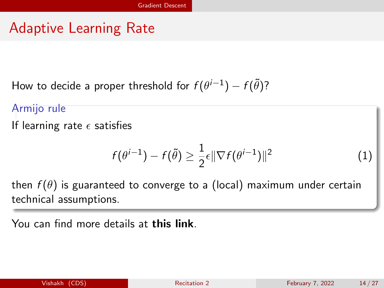# Adaptive Learning Rate

How to decide a proper threshold for  $f(\theta^{i-1})-f(\tilde{\theta})$ ?

Armijo rule

If learning rate  $\epsilon$  satisfies

$$
f(\theta^{i-1}) - f(\tilde{\theta}) \ge \frac{1}{2}\epsilon \|\nabla f(\theta^{i-1})\|^2 \tag{1}
$$

then  $f(\theta)$  is guaranteed to converge to a (local) maximum under certain technical assumptions.

You can find more details at [this link](https://en.wikipedia.org/wiki/Wolfe_conditions).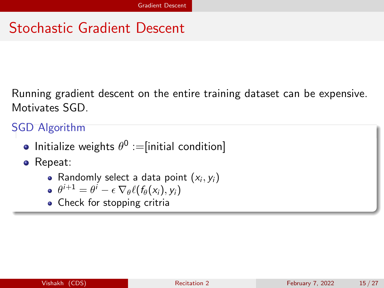# Stochastic Gradient Descent

Running gradient descent on the entire training dataset can be expensive. Motivates SGD.

SGD Algorithm

Initialize weights  $\theta^0 :=$ [initial condition]

• Repeat:

- Randomly select a data point  $(x_i, y_i)$
- $\theta^{i+1} = \theta^i \epsilon \, \nabla_\theta \ell(f_\theta(\mathsf{x}_i), \mathsf{y}_i)$
- Check for stopping critria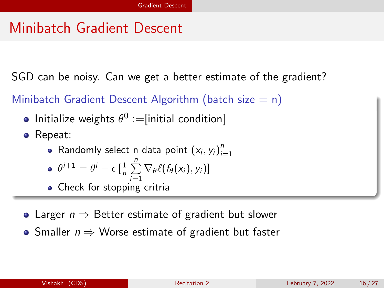# Minibatch Gradient Descent

SGD can be noisy. Can we get a better estimate of the gradient?

Minibatch Gradient Descent Algorithm (batch size  $= n$ )

- Initialize weights  $\theta^0 :=$ [initial condition]
- Repeat:
	- Randomly select n data point  $(x_i, y_i)_{i=1}^n$

$$
\bullet \ \theta^{i+1} = \theta^i - \epsilon \left[ \frac{1}{n} \sum_{i=1}^n \nabla_{\theta} \ell(f_{\theta}(x_i), y_i) \right]
$$

- Check for stopping critria
- Larger  $n \Rightarrow$  Better estimate of gradient but slower
- Smaller  $n \Rightarrow$  Worse estimate of gradient but faster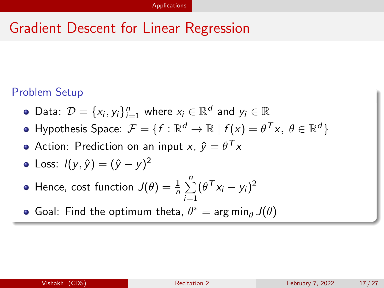# <span id="page-16-0"></span>Gradient Descent for Linear Regression

#### Problem Setup

- Data:  $\mathcal{D} = \{x_i, y_i\}_{i=1}^n$  where  $x_i \in \mathbb{R}^d$  and  $y_i \in \mathbb{R}$
- Hypothesis Space:  $\mathcal{F} = \{f: \mathbb{R}^d \to \mathbb{R} \mid f(x) = \theta^{\sf \, T} x, \ \theta \in \mathbb{R}^d\}$
- Action: Prediction on an input  $x, \ \hat{y} = \theta^{\mathcal{T}} x$
- Loss:  $I(y, \hat{y}) = (\hat{y} y)^2$
- Hence, cost function  $J(\theta) = \frac{1}{n} \sum_{n=1}^{n}$  $i=1$  $(\theta^Tx_i-y_i)^2$
- Goal: Find the optimum theta,  $\theta^* = \arg\min_{\theta} J(\theta)$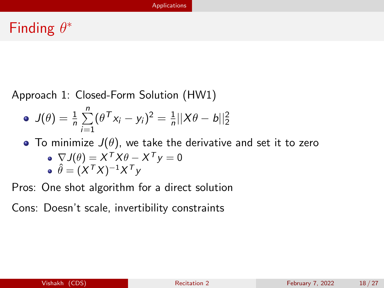# Finding  $\theta^*$

Approach 1: Closed-Form Solution (HW1)

• 
$$
J(\theta) = \frac{1}{n} \sum_{i=1}^{n} (\theta^{T} x_i - y_i)^2 = \frac{1}{n} ||X\theta - b||_2^2
$$

- To minimize  $J(\theta)$ , we take the derivative and set it to zero  $\nabla J(\theta) = X^{\mathsf{T}} X \theta - X^{\mathsf{T}} y = 0$ 
	- $\hat{\theta} = (X^TX)^{-1}X^Ty$

Pros: One shot algorithm for a direct solution

Cons: Doesn't scale, invertibility constraints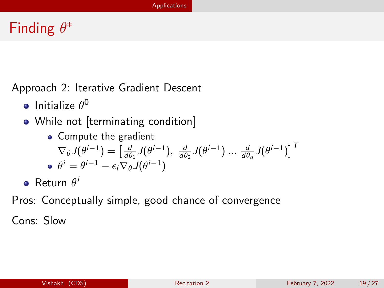# Finding  $\theta^*$

Approach 2: Iterative Gradient Descent

- Initialize  $\theta^{\mathsf{0}}$
- While not [terminating condition]
	- Compute the gradient  $\nabla_{\theta} J(\theta^{i-1}) = \begin{bmatrix} \frac{d}{d\theta_1} J(\theta^{i-1}), & \frac{d}{d\theta_2} J(\theta^{i-1}) \hspace{0.1cm} ... \hspace{0.1cm} \frac{d}{d\theta_d} J(\theta^{i-1}) \end{bmatrix}^T$  $\theta^i = \theta^{i-1} - \epsilon_i \nabla_\theta \mathsf{J}(\theta^{i-1})$
- $\mathsf{Return}\; \theta^i$

Pros: Conceptually simple, good chance of convergence

Cons: Slow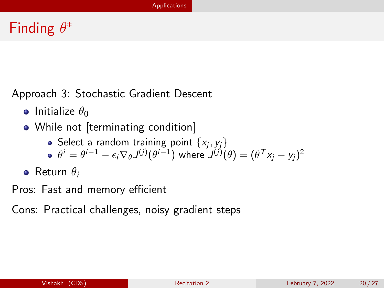# Finding  $\theta^*$

Approach 3: Stochastic Gradient Descent

- **•** Initialize  $\theta_0$
- While not [terminating condition]
	- Select a random training point  $\{x_j, y_j\}$ 
		- $\theta^i = \theta^{i-1} \epsilon_i \nabla_\theta J^{(j)}(\theta^{i-1})$  where  $J^{(j)}(\theta) = (\theta^\mathsf{T} x_j y_j)^2$
- **•** Return  $\theta_i$
- Pros: Fast and memory efficient

Cons: Practical challenges, noisy gradient steps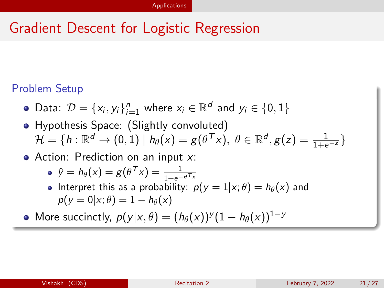#### Problem Setup

- Data:  $\mathcal{D} = \{x_i, y_i\}_{i=1}^n$  where  $x_i \in \mathbb{R}^d$  and  $y_i \in \{0, 1\}$
- Hypothesis Space: (Slightly convoluted)  $\mathcal{H} = \{h: \mathbb{R}^d \to (0,1) \mid h_\theta(\mathsf{x}) = g(\theta^\mathsf{T}\mathsf{x}),\; \theta \in \mathbb{R}^d, g(\mathsf{z}) = \frac{1}{1+\mathrm{e}^{-\mathsf{z}}}\}$
- $\bullet$  Action: Prediction on an input x:

$$
\bullet \ \hat{y} = h_{\theta}(x) = g(\theta^{\mathsf{T}} x) = \frac{1}{1 + e^{-\theta^{\mathsf{T}} x}}
$$

• Interpret this as a probability:  $p(y = 1 | x; \theta) = h_{\theta}(x)$  and  $p(y = 0|x; \theta) = 1 - h_{\theta}(x)$ 

More succinctly,  $p(y|x,\theta)=(h_\theta(x))^y(1-h_\theta(x))^{1-y}$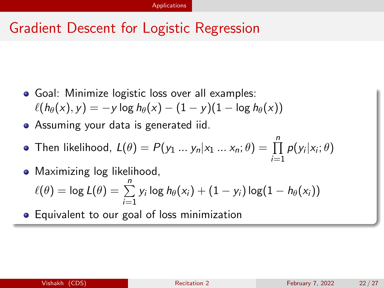- Goal: Minimize logistic loss over all examples:  $\ell(h_{\theta}(x), y) = -y \log h_{\theta}(x) - (1 - y)(1 - \log h_{\theta}(x))$
- Assuming your data is generated iid.
- Then likelihood,  $L(\theta) = P(y_1 \, ... \, y_n | x_1 \, ... \, x_n; \theta) = \prod^n \, p(y_i | x_i; \theta)$  $i=1$
- Maximizing log likelihood,  $\ell(\theta) = \log L(\theta) = \sum_{n=1}^{n}$  $i=1$  $y_i \log h_\theta(x_i) + (1-y_i) \log (1-h_\theta(x_i))$
- **•** Equivalent to our goal of loss minimization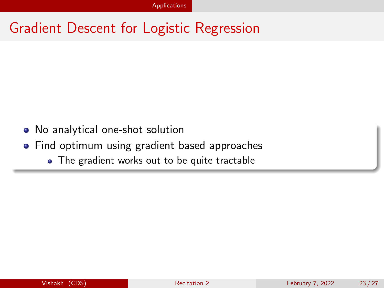- No analytical one-shot solution
- Find optimum using gradient based approaches
	- The gradient works out to be quite tractable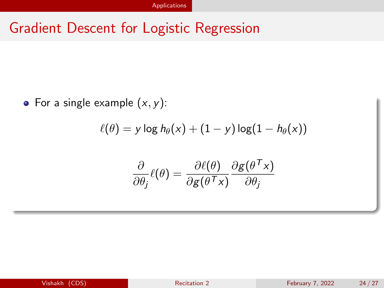$$
\ell(\theta) = y \log h_\theta(x) + (1-y) \log (1-h_\theta(x))
$$

$$
\frac{\partial}{\partial \theta_j} \ell(\theta) = \frac{\partial \ell(\theta)}{\partial g(\theta^\mathsf{T} \times)} \frac{\partial g(\theta^\mathsf{T} \times)}{\partial \theta_j}
$$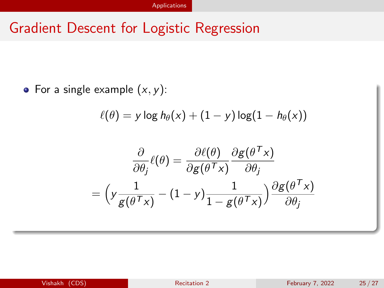$$
\ell(\theta) = y \log h_\theta(x) + (1-y) \log(1-h_\theta(x))
$$

$$
\frac{\partial}{\partial \theta_j} \ell(\theta) = \frac{\partial \ell(\theta)}{\partial g(\theta^\mathsf{T} x)} \frac{\partial g(\theta^\mathsf{T} x)}{\partial \theta_j}
$$
\n
$$
= \left( y \frac{1}{g(\theta^\mathsf{T} x)} - (1 - y) \frac{1}{1 - g(\theta^\mathsf{T} x)} \right) \frac{\partial g(\theta^\mathsf{T} x)}{\partial \theta_j}
$$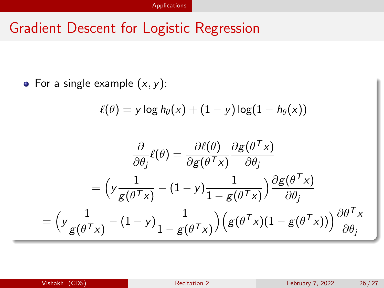$$
\ell(\theta) = y \log h_{\theta}(x) + (1 - y) \log(1 - h_{\theta}(x))
$$

$$
\frac{\partial}{\partial \theta_j} \ell(\theta) = \frac{\partial \ell(\theta)}{\partial g(\theta^\mathsf{T} x)} \frac{\partial g(\theta^\mathsf{T} x)}{\partial \theta_j}
$$
\n
$$
= \left( y \frac{1}{g(\theta^\mathsf{T} x)} - (1 - y) \frac{1}{1 - g(\theta^\mathsf{T} x)} \right) \frac{\partial g(\theta^\mathsf{T} x)}{\partial \theta_j}
$$
\n
$$
= \left( y \frac{1}{g(\theta^\mathsf{T} x)} - (1 - y) \frac{1}{1 - g(\theta^\mathsf{T} x)} \right) \left( g(\theta^\mathsf{T} x)(1 - g(\theta^\mathsf{T} x)) \right) \frac{\partial \theta^\mathsf{T} x}{\partial \theta_j}
$$